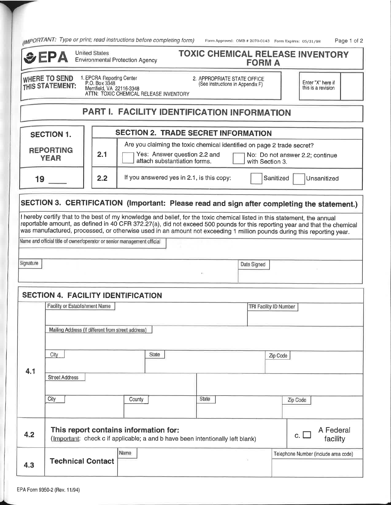|  |  | <sub>IIMPORTANT:</sub> Type or print; read instructions before completing form) |  |  |  |
|--|--|---------------------------------------------------------------------------------|--|--|--|
|--|--|---------------------------------------------------------------------------------|--|--|--|

| $\mu$ <sub>n</sub>                                                                                                                |                                                                                                                                                                                                                                                                            |                                                                         |                                                                                                                                                                                                                                                                                                                                                                                   |       |             |          |                                      |  |
|-----------------------------------------------------------------------------------------------------------------------------------|----------------------------------------------------------------------------------------------------------------------------------------------------------------------------------------------------------------------------------------------------------------------------|-------------------------------------------------------------------------|-----------------------------------------------------------------------------------------------------------------------------------------------------------------------------------------------------------------------------------------------------------------------------------------------------------------------------------------------------------------------------------|-------|-------------|----------|--------------------------------------|--|
| <b>United States</b><br><b>TOXIC CHEMICAL RELEASE INVENTORY</b><br>EPA<br><b>Environmental Protection Agency</b><br><b>FORM A</b> |                                                                                                                                                                                                                                                                            |                                                                         |                                                                                                                                                                                                                                                                                                                                                                                   |       |             |          |                                      |  |
|                                                                                                                                   | 1. EPCRA Reporting Center<br>P.O. Box 3348<br><b>WHERE TO SEND</b><br>2. APPROPRIATE STATE OFFICE<br>Enter "X" here if<br>(See instructions in Appendix F)<br>THIS STATEMENT:<br>Merrifield, VA 22116-3348<br>this is a revision<br>ATTN: TOXIC CHEMICAL RELEASE INVENTORY |                                                                         |                                                                                                                                                                                                                                                                                                                                                                                   |       |             |          |                                      |  |
|                                                                                                                                   |                                                                                                                                                                                                                                                                            |                                                                         | PART I. FACILITY IDENTIFICATION INFORMATION                                                                                                                                                                                                                                                                                                                                       |       |             |          |                                      |  |
| <b>SECTION 2. TRADE SECRET INFORMATION</b><br><b>SECTION 1.</b>                                                                   |                                                                                                                                                                                                                                                                            |                                                                         |                                                                                                                                                                                                                                                                                                                                                                                   |       |             |          |                                      |  |
|                                                                                                                                   | Are you claiming the toxic chemical identified on page 2 trade secret?<br><b>REPORTING</b><br>2.1<br>Yes: Answer question 2.2 and<br>No: Do not answer 2.2; continue<br><b>YEAR</b><br>attach substantiation forms.<br>with Section 3.                                     |                                                                         |                                                                                                                                                                                                                                                                                                                                                                                   |       |             |          |                                      |  |
| If you answered yes in 2.1, is this copy:<br>2.2<br>Sanitized<br>Unsanitized<br>19                                                |                                                                                                                                                                                                                                                                            |                                                                         |                                                                                                                                                                                                                                                                                                                                                                                   |       |             |          |                                      |  |
|                                                                                                                                   |                                                                                                                                                                                                                                                                            |                                                                         | SECTION 3. CERTIFICATION (Important: Please read and sign after completing the statement.)                                                                                                                                                                                                                                                                                        |       |             |          |                                      |  |
|                                                                                                                                   |                                                                                                                                                                                                                                                                            |                                                                         | I hereby certify that to the best of my knowledge and belief, for the toxic chemical listed in this statement, the annual<br>reportable amount, as defined in 40 CFR 372.27(a), did not exceed 500 pounds for this reporting year and that the chemical<br>was manufactured, processed, or otherwise used in an amount not exceeding 1 million pounds during this reporting year. |       |             |          |                                      |  |
|                                                                                                                                   |                                                                                                                                                                                                                                                                            | Name and official title of owner/operator or senior management official |                                                                                                                                                                                                                                                                                                                                                                                   |       |             |          |                                      |  |
| Signature                                                                                                                         |                                                                                                                                                                                                                                                                            |                                                                         |                                                                                                                                                                                                                                                                                                                                                                                   |       | Date Signed |          |                                      |  |
|                                                                                                                                   |                                                                                                                                                                                                                                                                            |                                                                         | <b>SECTION 4. FACILITY IDENTIFICATION</b>                                                                                                                                                                                                                                                                                                                                         |       |             |          |                                      |  |
|                                                                                                                                   | Facility or Establishment Name<br>TRI Facility ID Number                                                                                                                                                                                                                   |                                                                         |                                                                                                                                                                                                                                                                                                                                                                                   |       |             |          |                                      |  |
|                                                                                                                                   | Mailing Address (if different from street address)                                                                                                                                                                                                                         |                                                                         |                                                                                                                                                                                                                                                                                                                                                                                   |       |             |          |                                      |  |
| 4.1                                                                                                                               | City                                                                                                                                                                                                                                                                       |                                                                         | State                                                                                                                                                                                                                                                                                                                                                                             |       |             | Zip Code |                                      |  |
|                                                                                                                                   | <b>Street Address</b>                                                                                                                                                                                                                                                      |                                                                         |                                                                                                                                                                                                                                                                                                                                                                                   |       |             |          |                                      |  |
|                                                                                                                                   | City                                                                                                                                                                                                                                                                       |                                                                         | County                                                                                                                                                                                                                                                                                                                                                                            | State |             | Zip Code |                                      |  |
| 4.2                                                                                                                               | A Federal<br>This report contains information for:<br>c.<br>(Important: check c if applicable; a and b have been intentionally left blank)<br>facility                                                                                                                     |                                                                         |                                                                                                                                                                                                                                                                                                                                                                                   |       |             |          |                                      |  |
| 4.3                                                                                                                               |                                                                                                                                                                                                                                                                            | <b>Technical Contact</b>                                                | Name                                                                                                                                                                                                                                                                                                                                                                              |       |             |          | Telephone Number (include area code) |  |